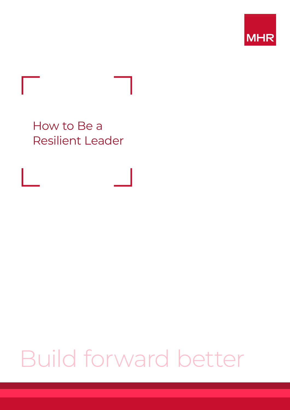

How to Be a Resilient Leader

## Build forward better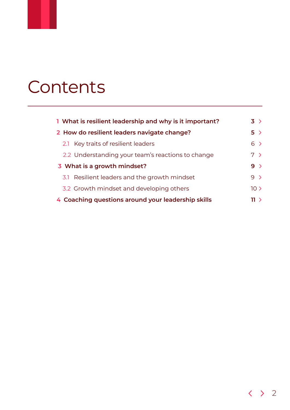### **Contents**

| 1 What is resilient leadership and why is it important? | $3 \rightarrow$ |
|---------------------------------------------------------|-----------------|
| 2 How do resilient leaders navigate change?             | 5 >             |
| 2.1 Key traits of resilient leaders                     | $6 \rightarrow$ |
| 2.2 Understanding your team's reactions to change       | 7 >             |
| 3 What is a growth mindset?                             | $9 \rightarrow$ |
| 3.1 Resilient leaders and the growth mindset            | $9 \rightarrow$ |
| 3.2 Growth mindset and developing others                | 10 <sub>2</sub> |
| 4 Coaching questions around your leadership skills      | 11 >            |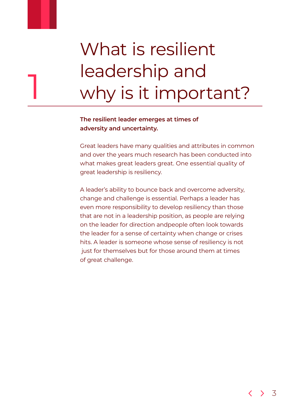# <span id="page-2-0"></span>What is resilient leadership and<br>why is it important?

### **The resilient leader emerges at times of adversity and uncertainty.**

Great leaders have many qualities and attributes in common and over the years much research has been conducted into what makes great leaders great. One essential quality of great leadership is resiliency.

A leader's ability to bounce back and overcome adversity, change and challenge is essential. Perhaps a leader has even more responsibility to develop resiliency than those that are not in a leadership position, as people are relying on the leader for direction andpeople often look towards the leader for a sense of certainty when change or crises hits. A leader is someone whose sense of resiliency is not just for themselves but for those around them at times of great challenge.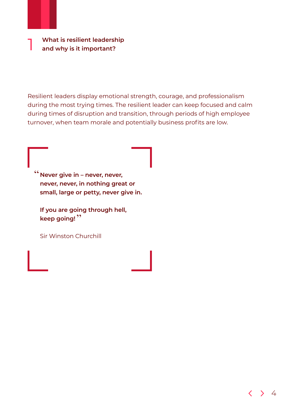1 **What is resilient leadership and why is it important?** 

Resilient leaders display emotional strength, courage, and professionalism during the most trying times. The resilient leader can keep focused and calm during times of disruption and transition, through periods of high employee turnover, when team morale and potentially business profits are low.

<sup>"</sup> Never give in – never, never, **never, never, in nothing great or small, large or petty, never give in.** 

**If you are going through hell, keep going!** "

Sir Winston Churchill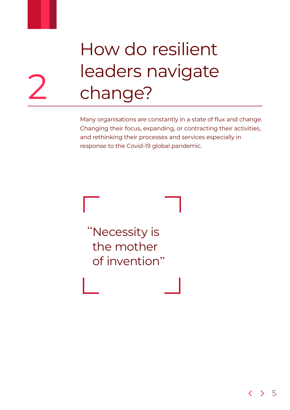<span id="page-4-0"></span>

# How do resilient leaders navigate<br>change?

Many organisations are constantly in a state of flux and change. Changing their focus, expanding, or contracting their activities, and rethinking their processes and services especially in response to the Covid-19 global pandemic.

Necessity is " the mother of invention "

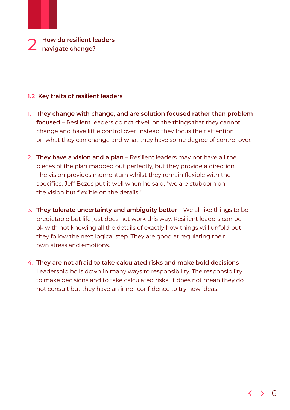### <span id="page-5-0"></span>**1.2 Key traits of resilient leaders**

- 1. **They change with change, and are solution focused rather than problem focused** – Resilient leaders do not dwell on the things that they cannot change and have little control over, instead they focus their attention on what they can change and what they have some degree of control over.
- 2. **They have a vision and a plan** Resilient leaders may not have all the pieces of the plan mapped out perfectly, but they provide a direction. The vision provides momentum whilst they remain flexible with the specifics. Jeff Bezos put it well when he said, "we are stubborn on the vision but flexible on the details."
- 3. **They tolerate uncertainty and ambiguity better** We all like things to be predictable but life just does not work this way. Resilient leaders can be ok with not knowing all the details of exactly how things will unfold but they follow the next logical step. They are good at regulating their own stress and emotions.
- 4. **They are not afraid to take calculated risks and make bold decisions** Leadership boils down in many ways to responsibility. The responsibility to make decisions and to take calculated risks, it does not mean they do not consult but they have an inner confidence to try new ideas.

6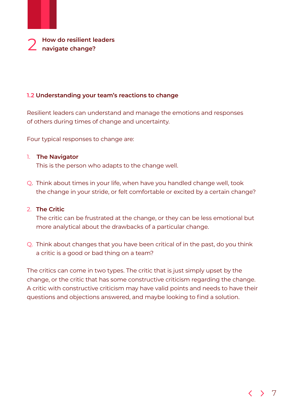<span id="page-6-0"></span>

### **1.2 Understanding your team's reactions to change**

Resilient leaders can understand and manage the emotions and responses of others during times of change and uncertainty.

Four typical responses to change are:

### 1. **The Navigator**

This is the person who adapts to the change well.

Q. Think about times in your life, when have you handled change well, took the change in your stride, or felt comfortable or excited by a certain change?

### 2. **The Critic**

 The critic can be frustrated at the change, or they can be less emotional but more analytical about the drawbacks of a particular change.

Q. Think about changes that you have been critical of in the past, do you think a critic is a good or bad thing on a team?

The critics can come in two types. The critic that is just simply upset by the change, or the critic that has some constructive criticism regarding the change. A critic with constructive criticism may have valid points and needs to have their questions and objections answered, and maybe looking to find a solution.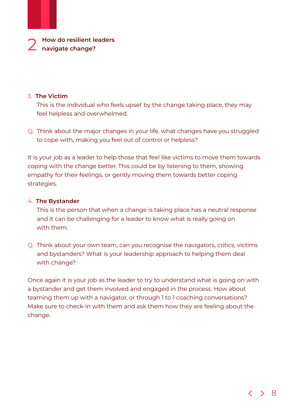### 3. **The Victim**

 This is the individual who feels upset by the change taking place, they may feel helpless and overwhelmed.

Q. Think about the major changes in your life, what changes have you struggled to cope with, making you feel out of control or helpless?

It is your job as a leader to help those that feel like victims to move them towards coping with the change better. This could be by listening to them, showing empathy for their feelings, or gently moving them towards better coping strategies.

### 4. **The Bystander**

 This is the person that when a change is taking place has a neutral response and it can be challenging for a leader to know what is really going on with them.

Q. Think about your own team, can you recognise the navigators, critics, victims and bystanders? What is your leadership approach to helping them deal with change?

Once again it is your job as the leader to try to understand what is going on with a bystander and get them involved and engaged in the process. How about teaming them up with a navigator, or through 1 to 1 coaching conversations? Make sure to check-in with them and ask them how they are feeling about the change.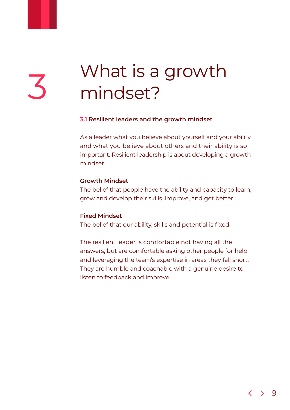# <span id="page-8-0"></span>What is a growth<br>mindset?

### **3.1 Resilient leaders and the growth mindset**

As a leader what you believe about yourself and your ability, and what you believe about others and their ability is so important. Resilient leadership is about developing a growth mindset.

### **Growth Mindset**

The belief that people have the ability and capacity to learn, grow and develop their skills, improve, and get better.

### **Fixed Mindset**

The belief that our ability, skills and potential is fixed.

The resilient leader is comfortable not having all the answers, but are comfortable asking other people for help, and leveraging the team's expertise in areas they fall short. They are humble and coachable with a genuine desire to listen to feedback and improve.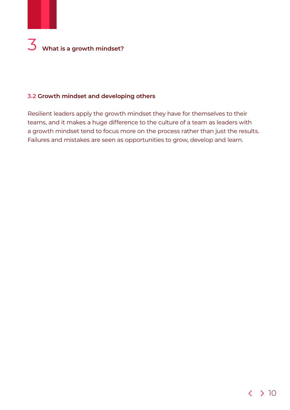## 3 **What is a growth mindset?**

### **3.2 Growth mindset and developing others**

Resilient leaders apply the growth mindset they have for themselves to their teams, and it makes a huge difference to the culture of a team as leaders with a growth mindset tend to focus more on the process rather than just the results. Failures and mistakes are seen as opportunities to grow, develop and learn.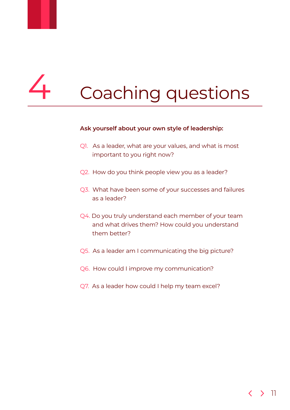# <span id="page-10-0"></span>Coaching questions

### **Ask yourself about your own style of leadership:**

- Q1. As a leader, what are your values, and what is most important to you right now?
- Q2. How do you think people view you as a leader?
- Q3. What have been some of your successes and failures as a leader?
- Q4. Do you truly understand each member of your team and what drives them? How could you understand them better?
- Q5. As a leader am I communicating the big picture?
- Q6. How could I improve my communication?
- Q7. As a leader how could I help my team excel?

### 11